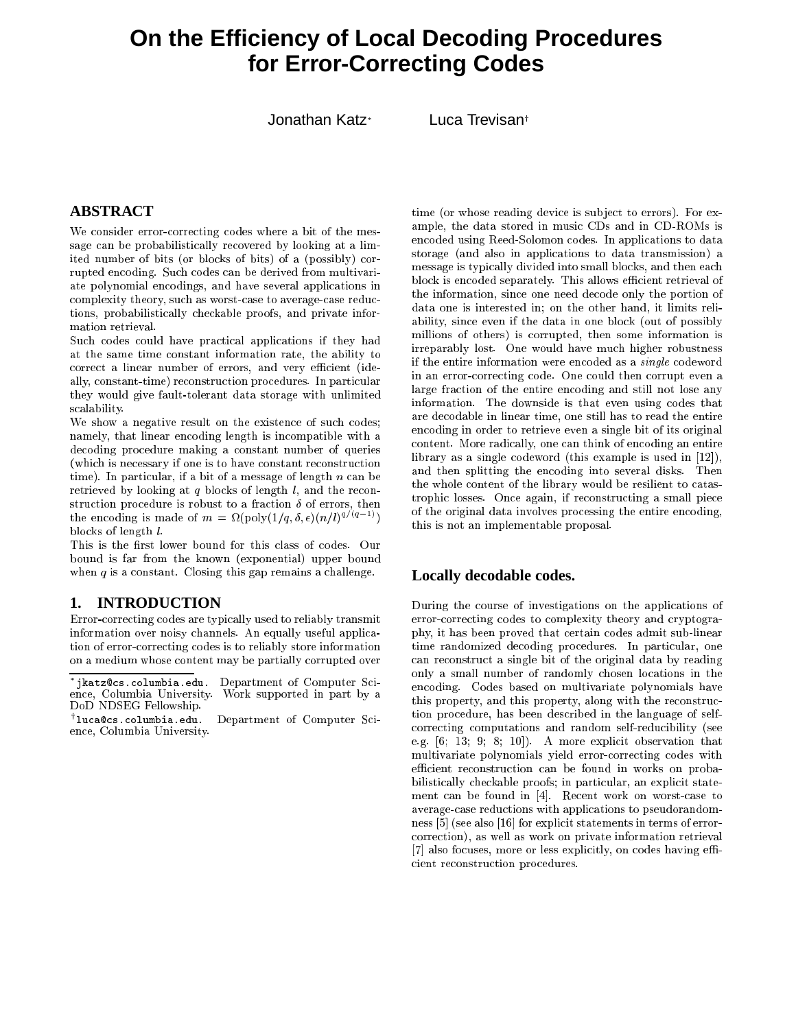# **On the Efficiency of Local Decoding Procedures for Error-Correcting Codes**

Jonathan Katz

Luca Trevisant

## **ABSTRACT**

We consider error-correcting codes where a bit of the message can be probabilistically recovered by looking at a limited number of bits (or blocks of bits) of a (possibly) corrupted en
oding. Su
h odes an be derived from multivariate polynomial en
odings, and have several appli
ations in complexity theory, such as worst-case to average-case reductions, probabilisti
ally he
kable proofs, and private information retrieval.

Such codes could have practical applications if they had at the same time onstant information rate, the ability to correct a linear number of errors, and very efficient (ideally, constant-time) reconstruction procedures. In particular they would give fault-tolerant data storage with unlimited s
alability.

We show a negative result on the existence of such codes; namely, that linear encoding length is incompatible with a de
oding pro
edure making a onstant number of queries (which is necessary if one is to have constant reconstruction time). In particular, if a bit of a message of length  $n$  can be retrieved by looking at  $q$  blocks of length  $l$ , and the reconstruction procedure is robust to a fraction  $\delta$  of errors, then the encoding is made of  $m = \Omega(\text{poly}(1/q, \delta, \epsilon) (n/l)^{q/(q-1)})$ blo
ks of length l.

This is the first lower bound for this class of codes. Our bound is far from the known (exponential) upper bound when  $q$  is a constant. Closing this gap remains a challenge.

## **1. INTRODUCTION**

Errororre
ting odes are typi
ally used to reliably transmit information over noisy channels. An equally useful application of errororre
ting odes is to reliably store information on a medium whose ontent may be partially orrupted over

time (or whose reading device is subject to errors). For example, the data stored in music CDs and in CD-ROMs is en
oded using Reed-Solomon odes. In appli
ations to data storage (and also in applications to data transmission) a message is typically divided into small blocks, and then each block is encoded separately. This allows efficient retrieval of the information, sin
e one need de
ode only the portion of data one is interested in; on the other hand, it limits reliability, sin
e even if the data in one blo
k (out of possibly millions of others) is orrupted, then some information is irreparably lost. One would have mu
h higher robustness if the entire information were encoded as a *single* codeword in an errororre
ting ode. One ould then orrupt even a large fraction of the entire encoding and still not lose any information. The downside is that even using codes that are de
odable in linear time, one still has to read the entire en
oding in order to retrieve even a single bit of its original content. More radically, one can think of encoding an entire library as a single codeword (this example is used in  $[12]$ ), and then splitting the en
oding into several disks. Then the whole content of the library would be resilient to catastrophic losses. Once again, if reconstructing a small piece of the original data involves processing the entire encoding, this is not an implementable proposal.

## **Locally decodable codes.**

During the ourse of investigations on the appli
ations of errororre
ting odes to omplexity theory and ryptography, it has been proved that ertain odes admit sub-linear time randomized decoding procedures. In particular, one an re
onstru
t a single bit of the original data by reading only a small number of randomly hosen lo
ations in the en
oding. Codes based on multivariate polynomials have this property, and this property, along with the reconstruction pro
edure, has been des
ribed in the language of self correcting computations and random self-reducibility (see e.g.  $[6; 13; 9; 8; 10]$ . A more explicit observation that multivariate polynomials yield error-correcting codes with efficient reconstruction can be found in works on probabilistically checkable proofs; in particular, an explicit statement can be found in [4]. Recent work on worst-case to averagease redu
tions with appli
ations to pseudorandomness  $[5]$  (see also  $[16]$  for explicit statements in terms of errororre
tion), as well as work on private information retrieval [7] also focuses, more or less explicitly, on codes having efficient reconstruction procedures.

<sup>-</sup>ikatz@cs.columbia.edu. Department of Computer Sci en
e, Columbia University. Work supported in part by a DoD NDSEG Fellowship.

 $^\dagger$ luca@cs.columbia.edu. Department of Computer Scien
e, Columbia University.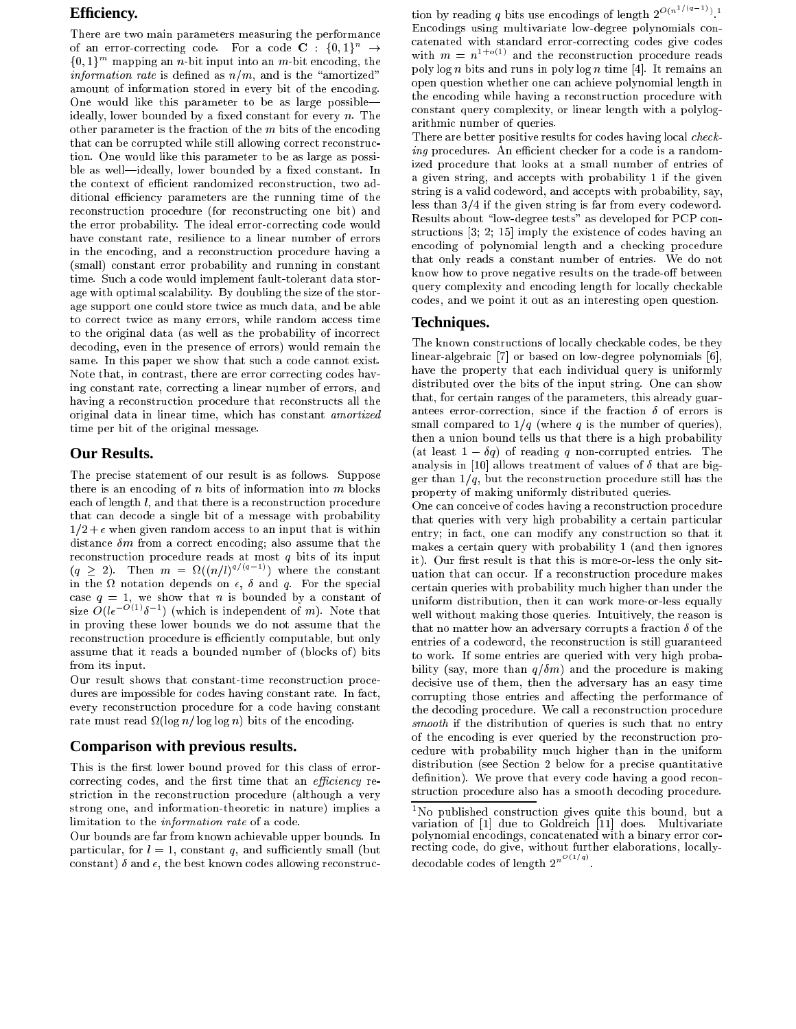## **Efficiency.**

There are two main parameters measuring the performan
e or an error-correcting code. For a code  $\mathbf{C}$  :  $\{0,1\}$   $\rightarrow$  $\{0,1\}^m$  mapping an *n*-bit input into an *m*-bit encoding, the *information rate* is defined as  $n/m$ , and is the "amortized" amount of information stored in every bit of the encoding. One would like this parameter to be as large possible| ideally, lower bounded by a fixed constant for every  $n$ . The other parameter is the fraction of the  $m$  bits of the encoding that can be corrupted while still allowing correct reconstruction. One would like this parameter to be as large as possible as well-ideally, lower bounded by a fixed constant. In the context of efficient randomized reconstruction, two additional efficiency parameters are the running time of the reconstruction procedure (for reconstructing one bit) and the error probability. The ideal error-correcting code would have constant rate, resilience to a linear number of errors in the encoding, and a reconstruction procedure having a (small) onstant error probability and running in onstant time. Su
h a ode would implement fault-tolerant data storage with optimal s
alability. By doubling the size of the storage support one could store twice as much data, and be able to correct twice as many errors, while random access time to the original data (as well as the probability of in
orre
t de
oding, even in the presen
e of errors) would remain the same. In this paper we show that such a code cannot exist. Note that, in contrast, there are error correcting codes having onstant rate, orre
ting a linear number of errors, and having a reconstruction procedure that reconstructs all the original data in linear time, whi
h has onstant amortized time per bit of the original message.

## **Our Results.**

The precise statement of our result is as follows. Suppose there is an encoding of  $n$  bits of information into  $m$  blocks each of length *l*, and that there is a reconstruction procedure that an de
ode a single bit of a message with probability  $1/2 + \epsilon$  when given random access to an input that is within distance  $\delta m$  from a correct encoding; also assume that the reconstruction procedure reads at most  $q$  bits of its input  $(q \geq 2)$ . Then  $m = \Omega((n/l)^{q/(q-1)})$  where the constant in the  $\Omega$  notation depends on  $\epsilon, \ \delta$  and  $q.$  For the special case  $q\,=\,$  1, we snow that  $n$  is bounded by a constant of size  $O(l\epsilon^{-O(1)}\delta^{-1})$  (which is independent of m). Note that in proving these lower bounds we do not assume that the reconstruction procedure is efficiently computable, but only assume that it reads a bounded number of (blocks of) bits from its input.

Our result shows that constant-time reconstruction procedures are impossible for codes having constant rate. In fact, every reconstruction procedure for a code having constant rate must read  $\Omega(\log n/\log\log n)$  bits of the encoding.

## **Comparison with previous results.**

This is the first lower bound proved for this class of errorcorrecting codes, and the first time that an *efficiency* restriction in the reconstruction procedure (although a very strong one, and information-theoreti in nature) implies a limitation to the *information rate* of a code.

Our bounds are far from known a
hievable upper bounds. In particular, for  $l = 1$ , constant q, and sufficiently small (but constant)  $\delta$  and  $\epsilon$ , the best known codes allowing reconstruc-

tion by reading q bits use encodings of length  $2^{O(n^{2}+1)}$ . En
odings using multivariate low-degree polynomials on atenated with standard errororre
ting odes give odes with  $m = n^{1+o(1)}$  and the reconstruction procedure reads poly log n bits and runs in poly log n time [4]. It remains an open question whether one an a
hieve polynomial length in the encoding while having a reconstruction procedure with onstant query omplexity, or linear length with a polylogarithmi number of queries.

There are better positive results for codes having local *check*ing procedures. An efficient checker for a code is a randomized pro
edure that looks at a small number of entries of a given string, and accepts with probability 1 if the given string is a valid codeword, and accepts with probability, say, less than 3/4 if the given string is far from every odeword. Results about "low-degree tests" as developed for PCP constructions  $[3; 2; 15]$  imply the existence of codes having an encoding of polynomial length and a checking procedure that only reads a onstant number of entries. We do not know how to prove negative results on the trade-off between query omplexity and en
oding length for lo
ally he
kable odes, and we point it out as an interesting open question.

#### **Techniques.**

The known constructions of locally checkable codes, be they linear-algebraic  $[7]$  or based on low-degree polynomials  $[6]$ , have the property that each individual query is uniformly distributed over the bits of the input string. One can show that, for ertain ranges of the parameters, this already guarantees error-correction, since if the fraction  $\delta$  of errors is small compared to  $1/q$  (where q is the number of queries), then a union bound tells us that there is a high probability (at least  $1 - \delta q$ ) of reading q non-corrupted entries. The analysis in [10] allows treatment of values of  $\delta$  that are bigger than  $1/q$ , but the reconstruction procedure still has the property of making uniformly distributed queries.

One can conceive of codes having a reconstruction procedure that queries with very high probability a certain particular entry; in fact, one can modify any construction so that it makes a ertain query with probability 1 (and then ignores it). Our first result is that this is more-or-less the only situation that can occur. If a reconstruction procedure makes ertain queries with probability mu
h higher than under the uniform distribution, then it an work more-or-less equally well without making those queries. Intuitively, the reason is that no matter how an adversary corrupts a fraction  $\delta$  of the entries of a odeword, the re
onstru
tion is still guaranteed to work. If some entries are queried with very high probability (say, more than  $q/\delta m$ ) and the procedure is making decisive use of them, then the adversary has an easy time corrupting those entries and affecting the performance of the decoding procedure. We call a reconstruction procedure smooth if the distribution of queries is such that no entry of the en
oding is ever queried by the re
onstru
tion pro edure with probability mu
h higher than in the uniform distribution (see Section 2 below for a precise quantitative definition). We prove that every code having a good reconstruction procedure also has a smooth decoding procedure.

<sup>1</sup> No published onstru
tion gives quite this bound, but a variation of [1] due to Goldreich [11] does. Multivariate polynomial en
odings, on
atenated with a binary error orre
ting ode, do give, without further elaborations, lo
allydecodable codes of length  $2^{n-\frac{1}{2}}$ .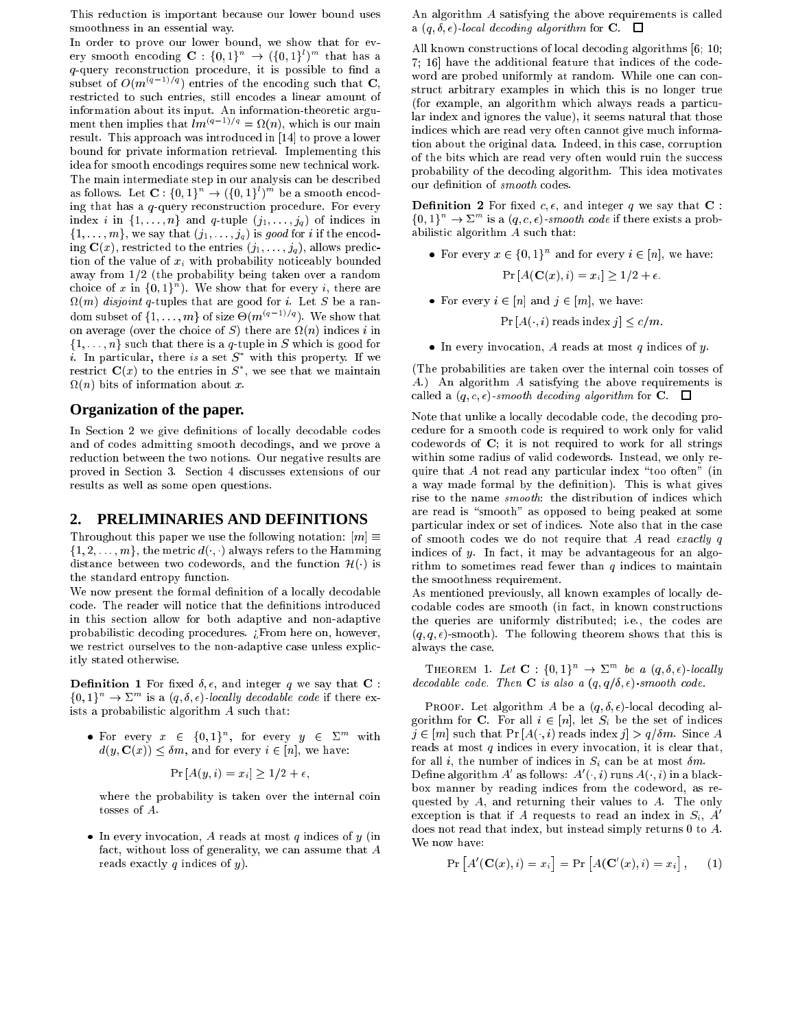This reduction is important because our lower bound uses smoothness in an essential way.

In order to prove our lower bound, we show that for every smooth encoding  $\mathbf{C}$  : {0, 1}  $\rightarrow$  ({0, 1} ) that has a q-query reconstruction procedure, it is possible to find a subset of  $O(m^{(q-1)/q})$  entries of the encoding such that C, restricted to such entries, still encodes a linear amount of ment then implies that  $Im^{(q-1)/q} = \Omega(n)$ , which is our main result. This approach was introduced in [14] to prove a lower bound for private information retrieval. Implementing this idea for smooth en
odings requires some new te
hni
al work. The main intermediate step in our analysis an be des
ribed as follows. Let  $\mathbf{C} : \{0,1\}^n \to (\{0,1\}^n)^m$  be a smooth encoding that has a  $q$ -query reconstruction procedure. For every index *i* in  $\{1, \ldots, n\}$  and *q*-tuple  $(j_1, \ldots, j_q)$  of indices in  $\{1, \ldots, m\}$ , we say that  $(j_1, \ldots, j_q)$  is good for i if the encoding  $\mathbf{C}(x)$ , restricted to the entries  $(j_1, \ldots, j_q)$ , allows prediction of the value of  $x_i$  with probability noticeably bounded away from 1/2 (the probability being taken over a random choice of x in  $\{0,1\}^n$ ). We show that for every i, there are  $\Omega(m)$  *disjoint q*-tuples that are good for *i*. Let  $S$  be a random subset of  $\{1,\ldots,m\}$  of size  $\Theta(m^{\frac{1}{\alpha}})^{-\gamma/\alpha}$ ). We show that on average (over the choice of S) there are  $\Omega(n)$  indices i in  $\{1, \ldots, n\}$  such that there is a q-tuple in S which is good for *i*. In particular, there *is* a set  $S^*$  with this property. If we restrict  $\mathbf{C}(x)$  to the entries in  $S^*$ , we see that we maintain  $\Omega(n)$  bits of information about x.

#### **Organization of the paper.**

In Section 2 we give definitions of locally decodable codes and of odes admitting smooth de
odings, and we prove a redu
tion between the two notions. Our negative results are proved in Se
tion 3. Se
tion 4 dis
usses extensions of our results as well as some open questions.

#### **2. PRELIMINARIES AND DEFINITIONS**

Throughout this paper we use the following notation:  $[m] \equiv$  $\{1, 2, \ldots, m\}$ , the metric  $d(\cdot, \cdot)$  always refers to the Hamming distance between two codewords, and the function  $\mathcal{H}(\cdot)$  is the standard entropy function.

We now present the formal definition of a locally decodable code. The reader will notice that the definitions introduced in this se
tion allow for both adaptive and non-adaptive probabilistic decoding procedures. ¿From here on, however, we restrict ourselves to the non-adaptive case unless explicitly stated otherwise.

**Definition 1** For fixed  $\delta$ ,  $\epsilon$ , and integer q we say that **C** :  $\{0,1\}^n \to \Sigma^m$  is a  $(q, \delta, \epsilon)$  locally decodable code if there exists a probabilistic algorithm A such that:

• For every  $x \in \{0,1\}^n$ , for every  $y \in \Sigma^n$  with  $d(y, \mathbf{C}(x)) \leq \delta m$ , and for every  $i \in [n]$ , we have:

$$
Pr[A(y, i) = x_i] \ge 1/2 + \epsilon,
$$

where the probability is taken over the internal coin tosses of A.

• In every invocation, A reads at most  $q$  indices of  $y$  (in fact, without loss of generality, we can assume that A reads exactly  $q$  indices of  $y$ .

An algorithm A satisfying the above requirements is called a  $(q, \delta, \epsilon)$ -local decoding algorithm for **C**.  $\Box$ 

All known onstru
tions of lo
al de
oding algorithms [6; 10; 7; 16] have the additional feature that indices of the codeword are probed uniformly at random. While one can constru
t arbitrary examples in whi
h this is no longer true (for example, an algorithm whi
h always reads a parti
ular index and ignores the value), it seems natural that those indices which are read very often cannot give much information about the original data. Indeed, in this case, corruption of the bits which are read very often would ruin the success probability of the de
oding algorithm. This idea motivates our definition of *smooth* codes.

**Definition 2** For fixed  $c, \epsilon$ , and integer q we say that **C**:  $\{0, 1\} \rightarrow \Sigma$  is a  $(q, c, \epsilon)$ -smooth code if there exists a probabilistic algorithm A such that:

- For every  $x \in \{0,1\}^n$  and for every  $i \in [n]$ , we have:  $Pr[A(\mathbf{C}(x), i) = x_i] > 1/2 + \epsilon.$
- For every  $i \in [n]$  and  $j \in [m]$ , we have:

 $Pr[A(\cdot, i)$  reads index  $j] \leq c/m$ .

• In every invocation, A reads at most  $q$  indices of  $y$ .

(The probabilities are taken over the internal oin tosses of A.) An algorithm A satisfying the above requirements is called a  $(q, c, \epsilon)$ -smooth decoding algorithm for **C**.  $\Box$ 

Note that unlike a locally decodable code, the decoding proedure for a smooth ode is required to work only for valid odewords of C; it is not required to work for all strings within some radius of valid odewords. Instead, we only require that  $A$  not read any particular index "too often" (in a way made formal by the definition). This is what gives rise to the name *smooth*: the distribution of indices which are read is "smooth" as opposed to being peaked at some parti
ular index or set of indi
es. Note also that in the ase of smooth codes we do not require that A read exactly  $q$ indices of y. In fact, it may be advantageous for an algorithm to sometimes read fewer than  $q$  indices to maintain the smoothness requirement.

As mentioned previously, all known examples of locally decodable codes are smooth (in fact, in known constructions the queries are uniformly distributed; i.e., the odes are  $(q, q, \epsilon)$ -smooth). The following theorem shows that this is always the case.

THEOREM 1. Let  $\mathbf{C}:\{0,1\}^n \rightarrow \Sigma^m$  be a  $(q, \delta, \epsilon)$  locally decodable code. Then C is also a  $(q, q/\delta, \epsilon)$ -smooth code.

PROOF. Let algorithm A be a  $(q, \delta, \epsilon)$ -local decoding algorithm for C. For all  $i \in [n]$ , let  $S_i$  be the set of indices  $j \in [m]$  such that Pr  $[A(\cdot, i)]$  reads index  $j] > q/\delta m$ . Since A reads at most  $q$  indices in every invocation, it is clear that, for all *i*, the number of indices in  $S_i$  can be at most  $\delta m$ . Define algorithm A' as follows:  $A'(\cdot, i)$  runs  $A(\cdot, i)$  in a blackbox manner by reading indi
es from the odeword, as requested by A, and returning their values to A. The only exception is that if A requests to read an index in  $S_i$ , A does not read that index, but instead simply returns 0 to A. We now have:

$$
\Pr\left[A'(\mathbf{C}(x),i)=x_i\right]=\Pr\left[A(\mathbf{C}'(x),i)=x_i\right],\qquad(1)
$$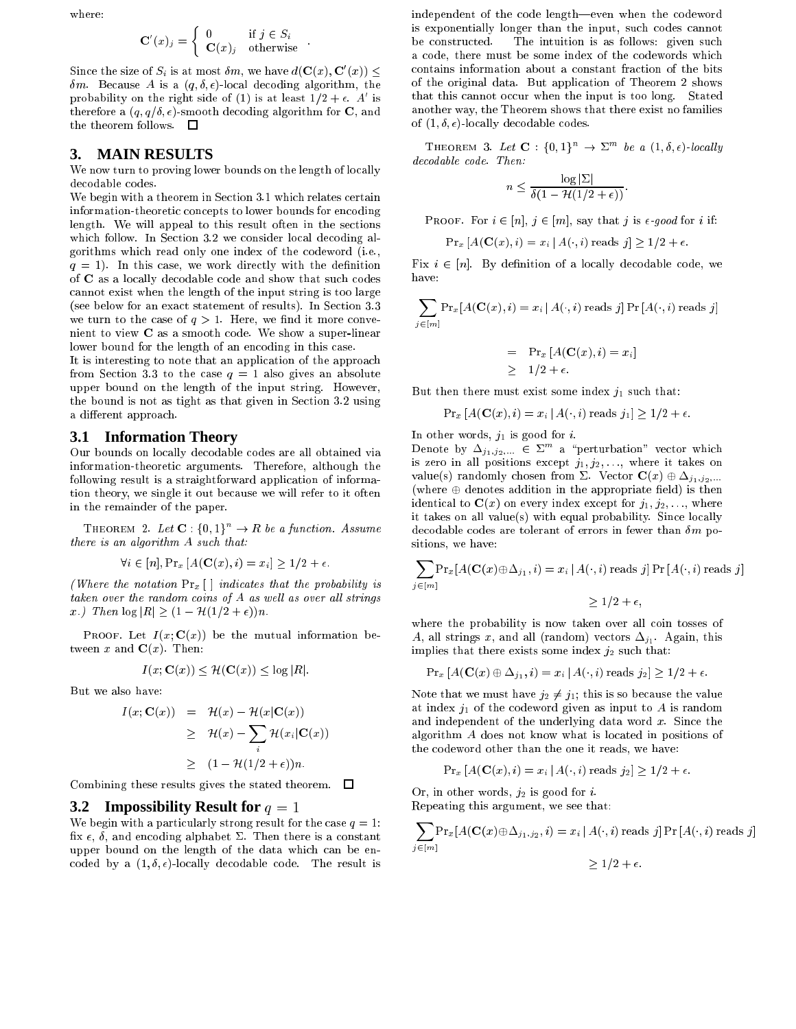where:

$$
\mathbf{C}'(x)_j = \begin{cases} 0 & \text{if } j \in S_i \\ \mathbf{C}(x)_j & \text{otherwise} \end{cases}.
$$

Since the size of  $S_i$  is at most  $\delta m,$  we have  $d(\mathbf{C}(x),\mathbf{C}'(x))\leq 0$  $\delta m$ . Because A is a  $(q, \delta, \epsilon)$ -local decoding algorithm, the probability on the right side of (1) is at least  $1/2 + \epsilon$ . A' is therefore a  $(q, q/\delta, \epsilon)$ -smooth decoding algorithm for **C**, and the theorem follows.  $\square$ 

#### **3. MAIN RESULTS**

We now turn to proving lower bounds on the length of locally de
odable odes.

We begin with a theorem in Section 3.1 which relates certain information-theoretic concepts to lower bounds for encoding length. We will appeal to this result often in the sections which follow. In Section 3.2 we consider local decoding algorithms whi
h read only one index of the odeword (i.e.,  $q = 1$ ). In this case, we work directly with the definition of C as a locally decodable code and show that such codes annot exist when the length of the input string is too large (see below for an exact statement of results). In Section 3.3 we turn to the case of  $q > 1$ . Here, we find it more convenient to view <sup>C</sup> as a smooth ode. We show a super-linear lower bound for the length of an encoding in this case.

It is interesting to note that an application of the approach from Section 3.3 to the case  $q = 1$  also gives an absolute upper bound on the length of the input string. However, the bound is not as tight as that given in Section 3.2 using a different approach.

#### **3.1 Information Theory**

Our bounds on locally decodable codes are all obtained via information-theoreti arguments. Therefore, although the following result is a straightforward application of information theory, we single it out be
ause we will refer to it often in the remainder of the paper.

THEOREM 2. Let  $\mathbf{C} : \{0,1\}^n \to R$  be a function. Assume there is an algorithm A such that:

$$
\forall i \in [n], \Pr_x [A(\mathbf{C}(x), i) = x_i] \ge 1/2 + \epsilon.
$$

(Where the notation  $Pr_x[$  ] indicates that the probability is taken over the random coins of  $A$  as well as over all strings x.) Then  $\log |R| \geq (1 - \mathcal{H}(1/2 + \epsilon))n$ .

PROOF. Let  $I(x; \mathbf{C}(x))$  be the mutual information between x and  $\mathbf{C}(x)$ . Then:

$$
I(x; \mathbf{C}(x)) \leq \mathcal{H}(\mathbf{C}(x)) \leq \log |R|.
$$

But we also have:

$$
I(x; \mathbf{C}(x)) = \mathcal{H}(x) - \mathcal{H}(x|\mathbf{C}(x))
$$
  
\n
$$
\geq \mathcal{H}(x) - \sum_{i} \mathcal{H}(x_i|\mathbf{C}(x))
$$
  
\n
$$
\geq (1 - \mathcal{H}(1/2 + \epsilon))n.
$$

Combining these results gives the stated theorem.  $\Box$ 

## **3.2 Impossibility Result for**  $q = 1$

We begin with a particularly strong result for the case  $q = 1$ : fix  $\epsilon$ ,  $\delta$ , and encoding alphabet  $\Sigma$ . Then there is a constant upper bound on the length of the data which can be encoded by a  $(1, \delta, \epsilon)$ -locally decodable code. The result is independent of the code length-even when the codeword is exponentially longer than the input, such codes cannot be constructed. The intuition is as follows: given such a code, there must be some index of the codewords which contains information about a constant fraction of the bits of the original data. But appli
ation of Theorem 2 shows that this cannot occur when the input is too long. Stated another way, the Theorem shows that there exist no families of  $(1, \delta, \epsilon)$ -locally decodable codes.

THEOREM 3. Let  $\mathbf{C}:\{0,1\}^n \rightarrow \Sigma^m$  be a  $(1,\delta,\epsilon)$  locally decodable code. Then:

$$
n \le \frac{\log |\Sigma|}{\delta(1 - \mathcal{H}(1/2 + \epsilon))}.
$$

PROOF. For  $i \in [n], j \in [m]$ , say that j is  $\epsilon$  good for i if:

$$
Pr_x[A(\mathbf{C}(x), i) = x_i | A(\cdot, i) \text{ reads } j] \ge 1/2 + \epsilon.
$$

Fix  $i \in [n]$ . By definition of a locally decodable code, we have:

$$
\sum_{j\in [m]} \Pr_x[A(\mathbf{C}(x), i) = x_i \,|\, A(\cdot, i) \text{ reads } j] \Pr\left[A(\cdot, i) \text{ reads } j\right]
$$

$$
= \Pr_x [A(\mathbf{C}(x), i) = x_i]
$$
  
 
$$
\geq 1/2 + \epsilon.
$$

But then there must exist some index  $j_1$  such that:

 $Pr_x[A(\mathbf{C}(x), i) = x_i | A(\cdot, i) \text{ reads } j_1] \geq 1/2 + \epsilon.$ 

In other words,  $j_1$  is good for i.

Denote by  $\Delta_{j_1, j_2, \dots} \in \Sigma^m$  a "perturbation" vector which is zero in all positions except  $j_1, j_2, \ldots$ , where it takes on value(s) randomly chosen from  $\Sigma$ . Vector  $\mathbf{C}(x) \oplus \Delta_{j_1, j_2, \ldots}$ (where  $\oplus$  denotes addition in the appropriate field) is then identical to  $\mathbf{C}(x)$  on every index except for  $j_1, j_2, \ldots$ , where it takes on all value(s) with equal probability. Since locally decodable codes are tolerant of errors in fewer than  $\delta m$  positions, we have:

$$
\sum_{j \in [m]} \Pr_x[A(\mathbf{C}(x) \oplus \Delta_{j_1}, i) = x_i | A(\cdot, i) \text{ reads } j] \Pr[A(\cdot, i) \text{ reads } j]
$$

 $\geq 1/2 + \epsilon$ ,

where the probability is now taken over all coin tosses of A, all strings x, and all (random) vectors  $\Delta_{j_1}$ . Again, this implies that there exists some index  $j_2$  such that:

$$
\Pr_x\left[A(\mathbf{C}(x) \oplus \Delta_{j_1}, i) = x_i \,|\, A(\cdot, i) \text{ reads } j_2\right] \ge 1/2 + \epsilon.
$$

Note that we must have  $j_2 \neq j_1$ ; this is so because the value at index  $j_1$  of the codeword given as input to  $A$  is random and independent of the underlying data word  $x$ . Since the algorithm A does not know what is lo
ated in positions of the odeword other than the one it reads, we have:

$$
Pr_x[A(\mathbf{C}(x), i) = x_i | A(\cdot, i) \text{ reads } j_2] \ge 1/2 + \epsilon.
$$

Or, in other words,  $j_2$  is good for i. Repeating this argument, we see that:

$$
\sum_{j \in [m]} \Pr_x[A(\mathbf{C}(x) \oplus \Delta_{j_1, j_2}, i) = x_i | A(\cdot, i) \text{ reads } j] \Pr[A(\cdot, i) \text{ reads } j]
$$

$$
\geq 1/2 + \epsilon.
$$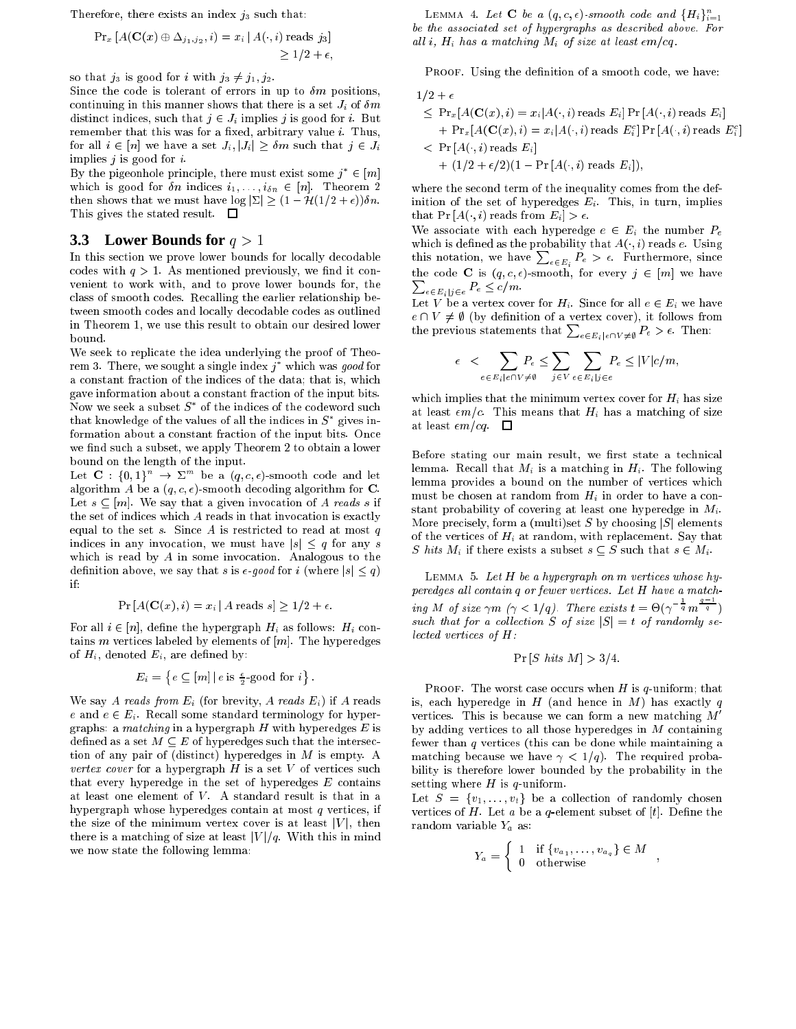Therefore, there exists an index  $j_3$  such that:

$$
\Pr_x \left[ A(\mathbf{C}(x) \oplus \Delta_{j_1, j_2}, i) = x_i \, | \, A(\cdot, i) \text{ reads } j_3 \right]
$$
  
\n
$$
\geq 1/2 + \epsilon,
$$

so that  $j_3$  is good for i with  $j_3 \neq j_1, j_2$ .

Since the code is tolerant of errors in up to  $\delta m$  positions, continuing in this manner shows that there is a set  $J_i$  of  $\delta m$ distinct indices, such that  $j \in J_i$  implies j is good for i. But remember that this was for a fixed, arbitrary value  $i$ . Thus, for all  $i \in [n]$  we have a set  $J_i$ ,  $|J_i| \geq \delta m$  such that  $j \in J_i$ implies  $j$  is good for  $i$ .

By the pigeonhole principle, there must exist some  $j^* \in [m]$ which is good for  $\delta n$  indices  $i_1, \ldots, i_{\delta n} \in [n]$ . Theorem 2 then shows that we must have  $\log |\Sigma| \geq (1 - \mathcal{H}(1/2 + \epsilon)) \delta n$ . This gives the stated result.  $\Box$ 

#### **3.3** Lower Bounds for  $q > 1$

In this section we prove lower bounds for locally decodable codes with  $q > 1$ . As mentioned previously, we find it convenient to work with, and to prove lower bounds for, the class of smooth codes. Recalling the earlier relationship between smooth odes and lo
ally de
odable odes as outlined in Theorem 1, we use this result to obtain our desired lower bound.

We seek to replicate the idea underlying the proof of Theorem 3. There, we sought a single index  $j^*$  which was good for a constant fraction of the indices of the data; that is, which gave information about a onstant fra
tion of the input bits. Now we seek a subset  $S^\ast$  of the indices of the codeword such that knowledge of the values of all the indices in  $S^*$  gives information about a constant fraction of the input bits. Once we find such a subset, we apply Theorem 2 to obtain a lower bound on the length of the input.

Let  $\mathbf{C}$  :  $\{0,1\}^n \rightarrow \Sigma^n$  be a  $(q, c, \epsilon)$ -smooth code and let algorithm A be a  $(q, c, \epsilon)$ -smooth decoding algorithm for C. Let  $s \subseteq [m]$ . We say that a given invocation of A reads s if the set of indices which A reads in that invocation is exactly equal to the set s. Since A is restricted to read at most  $q$ indices in any invocation, we must have  $|s| \leq q$  for any s which is read by  $A$  in some invocation. Analogous to the definition above, we say that s is  $\epsilon$ -good for i (where  $|s| \leq q$ )  $if.$ 

$$
Pr[A(\mathbf{C}(x), i) = x_i | A \text{ reads } s] \ge 1/2 + \epsilon.
$$

For all  $i \in [n]$ , define the hypergraph  $H_i$  as follows:  $H_i$  contains m vertices labeled by elements of  $[m]$ . The hyperedges of  $H_i$ , denoted  $E_i$ , are defined by:

$$
E_i = \{ e \subseteq [m] \mid e \text{ is } \frac{\epsilon}{2} \text{-good for } i \}
$$

–

We say A reads from  $E_i$  (for brevity, A reads  $E_i$ ) if A reads e and  $e \in E_i$ . Recall some standard terminology for hypergraphs: a matching in a hypergraph  $H$  with hyperedges  $E$  is defined as a set  $M \subseteq E$  of hyperedges such that the intersection of any pair of (distin
t) hyperedges in M is empty. A vertex cover for a hypergraph  $H$  is a set  $V$  of vertices such that every hyperedge in the set of hyperedges  $E$  contains at least one element of  $V$ . A standard result is that in a hypergraph whose hyperedges contain at most  $q$  vertices, if the size of the minimum vertex cover is at least  $|V|$ , then there is a matching of size at least  $|V|/q$ . With this in mind we now state the following lemma:

LEMMA 4. Let  $\bf C$  be a  $(q,c,\epsilon)$ -smooth code and  $\{H_i\}_{i=1}^n$ be the asso
iated set of hypergraphs as des
ribed above. For all i,  $H_i$  has a matching  $M_i$  of size at least  $\epsilon m/cq$ .

PROOF. Using the definition of a smooth code, we have:

$$
1/2+\epsilon
$$

 $\leq \Pr_x[A(\mathbf{C}(x), i) = x_i | A(\cdot, i) \text{ reads } E_i] \Pr[A(\cdot, i) \text{ reads } E_i]$  $+ \ \Pr_x[A(\mathbf{C}(x), i) = x_i | A(\cdot, i) \operatorname{reads} \, E_i^c] \Pr\left[A(\cdot, i) \operatorname{reads} \, E_i^c\right]$  $\langle \text{Pr}[A(\cdot, i) \text{ reads } E_i] \rangle$  $+ (1/2 + \epsilon/2)(1 - \Pr[A(\cdot, i) \text{ reads } E_i]),$ 

where the second term of the inequality comes from the definition of the set of hyperedges  $E_i$ . This, in turn, implies that Pr  $[A(\cdot, i)$  reads from  $E_i] > \epsilon$ .

We associate with each hyperedge  $e \in E_i$  the number  $P_e$ which is defined as the probability that  $A(\cdot, i)$  reads e. Using this notation, we have  $\sum_{e \in E_i} P_e > \epsilon$ . Furthermore, since the code **C** is  $(q, c, \epsilon)$ -smooth, for every  $j \in [m]$  we have  $e\in E_i|_{j\in e}$   $P_e \leq c/m$ .

Let V be a vertex cover for  $H_i$ . Since for all  $e \in E_i$  we have  $e \cap V \neq \emptyset$  (by definition of a vertex cover), it follows from the previous statements that  $\sum_{e\in E_i}\sum_{|e\cap V\neq\emptyset} P_e > \epsilon$ . Then:

$$
\epsilon \quad < \sum_{e \in E_i \mid e \cap V \neq \emptyset} P_e \leq \sum_{j \in V} \sum_{e \in E_i \mid j \in e} P_e \leq |V| c/m,
$$

which implies that the minimum vertex cover for  $H_i$  has size at least  $\epsilon m/c$ . This means that  $H_i$  has a matching of size at least  $\epsilon m/cq$ .  $\Box$ 

Before stating our main result, we first state a technical lemma. Recall that  $M_i$  is a matching in  $H_i$ . The following lemma provides a bound on the number of verti
es whi
h must be chosen at random from  $H_i$  in order to have a constant probability of covering at least one hyperedge in  $M_i$ . More precisely, form a (multi)set S by choosing  $|S|$  elements of the vertices of  $H_i$  at random, with replacement. Say that S hits  $M_i$  if there exists a subset  $s \subseteq S$  such that  $s \in M_i$ .

LEMMA 5. Let  $H$  be a hypergraph on  $m$  vertices whose hyperedges all contain q or fewer vertices. Let H have a matching M of size  $\gamma m$  ( $\gamma < 1/q$ ). There exists  $t = \Theta(\gamma^{-\frac{1}{q}} m^{\frac{1}{q}})$ <br>such that for a collection S of size  $|S| = t$  of randomly selected vertices of H:

$$
Pr[S \; hits \; M] > 3/4.
$$

**PROOF.** The worst case occurs when H is q-uniform; that is, each hyperedge in  $H$  (and hence in  $M$ ) has exactly q vertices. This is because we can form a new matching  $M'$ by adding vertices to all those hyperedges in  $M$  containing fewer than q vertices (this can be done while maintaining a matching because we have  $\gamma < 1/q$ . The required probability is therefore lower bounded by the probability in the setting where  $H$  is  $q$ -uniform.

Let  $S = \{v_1, \ldots, v_t\}$  be a collection of randomly chosen vertices of H. Let a be a q-element subset of  $[t]$ . Define the random variable  $Y_a$  as:

$$
Y_a = \left\{ \begin{array}{ll} 1 & \text{if } \{v_{a_1}, \ldots, v_{a_q}\} \in M \\ 0 & \text{otherwise} \end{array} \right.,
$$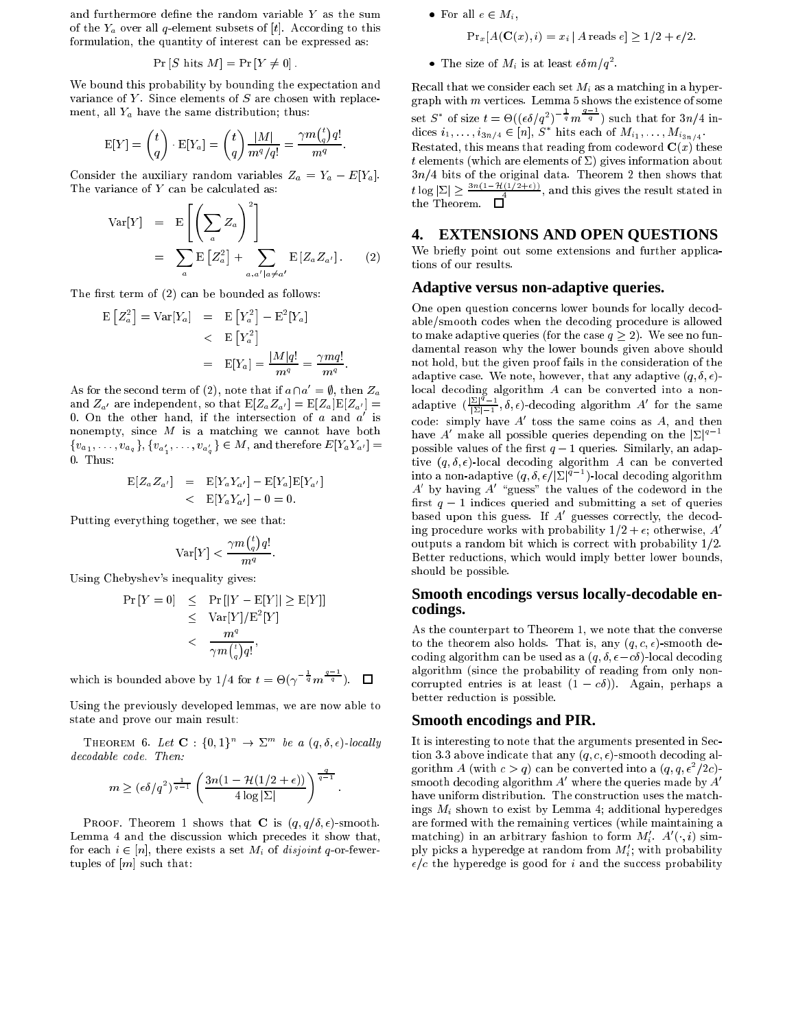and furthermore define the random variable  $Y$  as the sum of the  $Y_a$  over all q-element subsets of [t]. According to this formulation, the quantity of interest can be expressed as:

$$
Pr[S \text{ hits } M] = Pr[Y \neq 0].
$$

We bound this probability by bounding the expectation and variance of  $Y$ . Since elements of  $S$  are chosen with replacement, all  $Y_a$  have the same distribution; thus:

$$
E[Y] = {t \choose q} \cdot E[Y_a] = {t \choose q} \frac{|M|}{m^q/q!} = \frac{\gamma m {t \choose q} q!}{m^q}.
$$

Consider the auxiliary random variables  $Z_a = Y_a - E[Y_a]$ . The variance of  $Y$  can be calculated as:

$$
\operatorname{Var}[Y] = \mathbb{E}\left[\left(\sum_{a} Z_a\right)^2\right]
$$

$$
= \sum_{a} \mathbb{E}\left[Z_a^2\right] + \sum_{a, a' \mid a \neq a'} \mathbb{E}\left[Z_a Z_{a'}\right]. \tag{2}
$$

The first term of  $(2)$  can be bounded as follows:

$$
\begin{aligned} \mathbf{E}\left[Z_a^2\right] &= \text{Var}[Y_a] &= \mathbf{E}\left[Y_a^2\right] - \mathbf{E}^2[Y_a] \\ &< \mathbf{E}\left[Y_a^2\right] \\ &= \mathbf{E}[Y_a] = \frac{|M|q!}{m^q} = \frac{\gamma m q!}{m^q}. \end{aligned}
$$

As for the second term of (2), note that if  $a \cap a' = \emptyset$ , then  $Z_a$ and  $Z_{a'}$  are independent, so that  $E[Z_a Z_{a'}] = E[Z_a] E[Z_{a'}] =$ u. On the other hand, if the intersection of  $a$  and  $a$  is nonempty, since  $M$  is a matching we cannot have both  ${v_{a_1}, \ldots, v_{a_q}}$ ,  ${v_{a'_1}, \ldots, v_{a'_q}} \in M$ , and therefore  $E[Y_aY_{a'}]=$ 0. Thus:

$$
E[Z_a Z_{a'}] = E[Y_a Y_{a'}] - E[Y_a] E[Y_{a'}]
$$
  

$$
< E[Y_a Y_{a'}] - 0 = 0.
$$

Putting everything together, we see that:

$$
\mathrm{Var}[Y] < \frac{\gamma m\binom{t}{q}q!}{m^q}.
$$

Using Chebyshev's inequality gives:

$$
\Pr[Y = 0] \leq \Pr[|Y - E[Y]| \geq E[Y]]
$$
  
\n
$$
\leq \operatorname{Var}[Y]/E^{2}[Y]
$$
  
\n
$$
< \frac{m^{q}}{\gamma m {t \choose q} q!},
$$

which is bounded above by 1/4 for  $t = \Theta(\gamma^{-\frac{1}{q}} m^{\frac{1}{q}})$ .

Using the previously developed lemmas, we are now able to state and prove our main result:

THEOREM 6. Let  $\mathbf{C} : \{0,1\}^n \to \Sigma^m$  be a  $(q, \delta, \epsilon)$ -locally decodable code. Then:

$$
m \ge (\epsilon \delta / q^2)^{\frac{1}{q-1}} \left( \frac{3n(1 - \mathcal{H}(1/2 + \epsilon))}{4 \log |\Sigma|} \right)^{\frac{q}{q-1}}
$$

PROOF. Theorem 1 shows that C is  $(q, q/\delta, \epsilon)$ -smooth. Lemma 4 and the discussion which precedes it show that, for each  $i \in [n]$ , there exists a set  $M_i$  of *disjoint q*-or-fewertuples of  $[m]$  such that:

• For all  $e \in M_i$ ,

$$
Pr_x[A(\mathbf{C}(x), i) = x_i | A \operatorname{reads} e] \ge 1/2 + \epsilon/2.
$$

• The size of  $M_i$  is at least  $\epsilon \delta m/q^2$ .

Recall that we consider each set  $M_i$  as a matching in a hypergraph with m verti
es. Lemma 5 shows the existen
e of some set  $S^*$  of size  $t = \Theta((\epsilon \delta/q^2)^{-\frac{1}{q}} m^{\frac{1}{q}})$  such that for  $3n/4$  indices  $i_1, \ldots, i_{3n/4} \in [n], S^*$  hits each of  $M_{i_1}, \ldots, M_{i_{3n/4}}$ . Restated, this means that reading from codeword  $C(x)$  these t elements (which are elements of  $\Sigma$ ) gives information about  $3n/4$  bits of the original data. Theorem 2 then shows that  $t \log |\Sigma| \geq \frac{3n(1+2)(1+2+1)}{4}$ , and this gives the result stated in the Theorem.  $\Box$ 

## **4. EXTENSIONS AND OPEN QUESTIONS**

We briefly point out some extensions and further applications of our results.

#### **Adaptive versus non-adaptive queries.**

One open question concerns lower bounds for locally decodable/smooth odes when the de
oding pro
edure is allowed to make adaptive queries (for the case  $q \ge 2$ ). We see no fundamental reason why the lower bounds given above should not hold, but the given proof fails in the onsideration of the adaptive case. We note, however, that any adaptive  $(q, \delta, \epsilon)$ local decoding algorithm A can be converted into a nonadaptive (  $\frac{\Sigma |X| - 1}{\Sigma |X| - 1}$ ,  $\delta$ ,  $\epsilon$ )-decoding algorithm  $A'$  for the same code: simply have  $A'$  toss the same coins as A, and then have A' make all possible queries depending on the  $|\Sigma|^{q-1}$ possible values of the first  $q-1$  queries. Similarly, an adaptive  $(q, \delta, \epsilon)$ -local decoding algorithm A can be converted into a non-adaptive  $(q, \delta, \epsilon/|\Sigma|^{q-1})$ -local decoding algorithm  $A'$  by having  $A'$  "guess" the values of the codeword in the first  $q-1$  indices queried and submitting a set of queries based upon this guess. If  $A'$  guesses correctly, the decoding procedure works with probability  $1/2 + \epsilon$ ; otherwise, A' outputs a random bit whi
h is orre
t with probability 1/2. Better redu
tions, whi
h would imply better lower bounds, should be possible.

#### **Smooth encodings versus locally-decodable encodings.**

As the counterpart to Theorem 1, we note that the converse to the theorem also holds. That is, any  $(q, c, \epsilon)$ -smooth decoding algorithm can be used as a  $(q, \delta, \epsilon - c\delta)$ -local decoding algorithm (sin
e the probability of reading from only non corrupted entries is at least  $(1 - c\delta)$ . Again, perhaps a better redu
tion is possible.

## **Smooth encodings and PIR.**

It is interesting to note that the arguments presented in Section 3.3 above indicate that any  $(q, c, \epsilon)$ -smooth decoding algorithm A (with  $c > q$ ) can be converted into a  $(q, q, \epsilon^2/2c)$ smooth decoding algorithm  $A'$  where the queries made by  $A'$ have uniform distribution. The construction uses the matchings  $M_i$  shown to exist by Lemma 4; additional hyperedges are formed with the remaining vertices (while maintaining a matching) in an arbitrary fashion to form  $M_i'$ .  $A'(\cdot, i)$  simply picks a hyperedge at random from  $M_i$ ; with probability  $\epsilon/c$  the hyperedge is good for i and the success probability